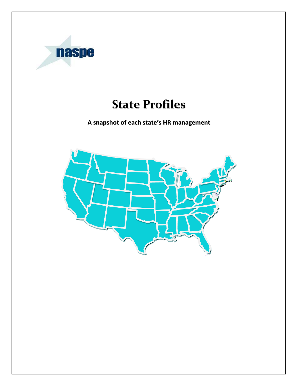

# **State Profiles**

**A snapshot of each state's HR management**

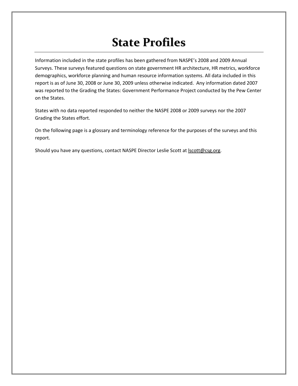# **State Profiles**

Information included in the state profiles has been gathered from NASPE's 2008 and 2009 Annual Surveys. These surveys featured questions on state government HR architecture, HR metrics, workforce demographics, workforce planning and human resource information systems. All data included in this report is as of June 30, 2008 or June 30, 2009 unless otherwise indicated. Any information dated 2007 was reported to the Grading the States: Government Performance Project conducted by the Pew Center on the States.

States with no data reported responded to neither the NASPE 2008 or 2009 surveys nor the 2007 Grading the States effort.

On the following page is a glossary and terminology reference for the purposes of the surveys and this report.

Should you have any questions, contact NASPE Director Leslie Scott at **Iscott@csg.org**.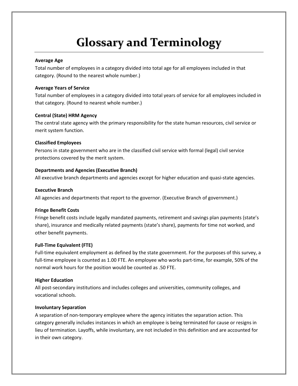# **Glossary and Terminology**

#### **Average Age**

Total number of employees in a category divided into total age for all employees included in that category. (Round to the nearest whole number.)

#### **Average Years of Service**

Total number of employees in a category divided into total years of service for all employees included in that category. (Round to nearest whole number.)

#### **Central (State) HRM Agency**

The central state agency with the primary responsibility for the state human resources, civil service or merit system function.

#### **Classified Employees**

Persons in state government who are in the classified civil service with formal (legal) civil service protections covered by the merit system.

#### **Departments and Agencies (Executive Branch)**

All executive branch departments and agencies except for higher education and quasi-state agencies.

#### **Executive Branch**

All agencies and departments that report to the governor. (Executive Branch of government.)

#### **Fringe Benefit Costs**

Fringe benefit costs include legally mandated payments, retirement and savings plan payments (state's share), insurance and medically related payments (state's share), payments for time not worked, and other benefit payments.

#### **Full‐Time Equivalent (FTE)**

Full-time equivalent employment as defined by the state government. For the purposes of this survey, a full-time employee is counted as 1.00 FTE. An employee who works part-time, for example, 50% of the normal work hours for the position would be counted as .50 FTE.

#### **Higher Education**

All post‐secondary institutions and includes colleges and universities, community colleges, and vocational schools.

#### **Involuntary Separation**

A separation of non‐temporary employee where the agency initiates the separation action. This category generally includes instances in which an employee is being terminated for cause or resigns in lieu of termination. Layoffs, while involuntary, are not included in this definition and are accounted for in their own category.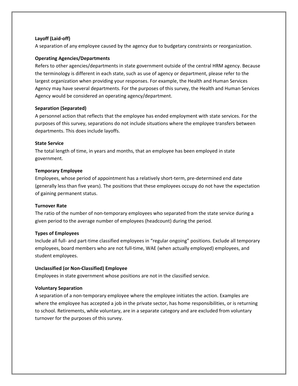#### **Layoff (Laid‐off)**

A separation of any employee caused by the agency due to budgetary constraints or reorganization.

#### **Operating Agencies/Departments**

Refers to other agencies/departments in state government outside of the central HRM agency. Because the terminology is different in each state, such as use of agency or department, please refer to the largest organization when providing your responses. For example, the Health and Human Services Agency may have several departments. For the purposes of this survey, the Health and Human Services Agency would be considered an operating agency/department.

#### **Separation (Separated)**

A personnel action that reflects that the employee has ended employment with state services. For the purposes of this survey, separations do not include situations where the employee transfers between departments. This does include layoffs.

#### **State Service**

The total length of time, in years and months, that an employee has been employed in state government.

#### **Temporary Employee**

Employees, whose period of appointment has a relatively short‐term, pre‐determined end date (generally less than five years). The positions that these employees occupy do not have the expectation of gaining permanent status.

#### **Turnover Rate**

The ratio of the number of non-temporary employees who separated from the state service during a given period to the average number of employees (headcount) during the period.

#### **Types of Employees**

Include all full‐ and part‐time classified employees in "regular ongoing" positions. Exclude all temporary employees, board members who are not full‐time, WAE (when actually employed) employees, and student employees.

#### **Unclassified (or Non‐Classified) Employee**

Employees in state government whose positions are not in the classified service.

#### **Voluntary Separation**

A separation of a non‐temporary employee where the employee initiates the action. Examples are where the employee has accepted a job in the private sector, has home responsibilities, or is returning to school. Retirements, while voluntary, are in a separate category and are excluded from voluntary turnover for the purposes of this survey.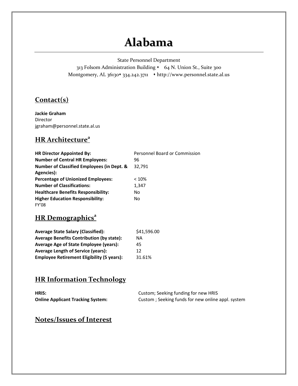## **Alabama**

State Personnel Department

313 Folsom Administration Building • 64 N. Union St., Suite 300 Montgomery, AL 36130\* 334.242.3711 \* http://www.personnel.state.al.us

### **Contact(s)**

**Jackie Graham**  Director jgraham@personnel.state.al.us

### **HR Architecture<sup>a</sup>**

| <b>HR Director Appointed By:</b>                      | Personnel Board or Commission |
|-------------------------------------------------------|-------------------------------|
| <b>Number of Central HR Employees:</b>                | 96                            |
| <b>Number of Classified Employees (in Dept. &amp;</b> | 32,791                        |
| Agencies):                                            |                               |
| <b>Percentage of Unionized Employees:</b>             | < 10%                         |
| <b>Number of Classifications:</b>                     | 1,347                         |
| <b>Healthcare Benefits Responsibility:</b>            | No                            |
| <b>Higher Education Responsibility:</b>               | No                            |
| <b>FY'08</b>                                          |                               |

### **HR** Demographics<sup>a</sup>

| <b>Average State Salary (Classified):</b>         | \$41,596.00 |
|---------------------------------------------------|-------------|
| <b>Average Benefits Contribution (by state):</b>  | ΝA          |
| Average Age of State Employee (years):            | 45          |
| <b>Average Length of Service (years):</b>         | 12          |
| <b>Employee Retirement Eligibility (5 years):</b> | 31.61%      |

#### **HR Information Technology**

| HRIS:                                    | Custom; Seeking funding for new HRIS              |
|------------------------------------------|---------------------------------------------------|
| <b>Online Applicant Tracking System:</b> | Custom; Seeking funds for new online appl. system |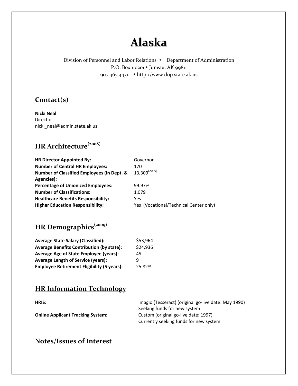## **Alaska**

Division of Personnel and Labor Relations • Department of Administration P.O. Box 110201 • Juneau, AK 99811 907.465.4431 http://www.dop.state.ak.us

#### **Contact(s)**

**Nicki Neal** Director nicki\_neal@admin.state.ak.us

### **HR Architecture(2008)**

| <b>HR Director Appointed By:</b>                      | Governor                               |
|-------------------------------------------------------|----------------------------------------|
| <b>Number of Central HR Employees:</b>                | 170                                    |
| <b>Number of Classified Employees (in Dept. &amp;</b> | $13,309^{(2009)}$                      |
| Agencies):                                            |                                        |
| <b>Percentage of Unionized Employees:</b>             | 99.97%                                 |
| <b>Number of Classifications:</b>                     | 1.079                                  |
| <b>Healthcare Benefits Responsibility:</b>            | Yes                                    |
| <b>Higher Education Responsibility:</b>               | Yes (Vocational/Technical Center only) |

## **HR Demographics(2009)**

| <b>Average State Salary (Classified):</b>         | \$53,964 |
|---------------------------------------------------|----------|
| <b>Average Benefits Contribution (by state):</b>  | \$24,936 |
| <b>Average Age of State Employee (years):</b>     | 45       |
| <b>Average Length of Service (years):</b>         | q        |
| <b>Employee Retirement Eligibility (5 years):</b> | 25.82%   |

#### **HR Information Technology**

**HRIS:** Imagio (Tesseract) (original go-live date: May 1990) Seeking funds for new system **Online Applicant Tracking System:** Custom (original go-live date: 1997) Currently seeking funds for new system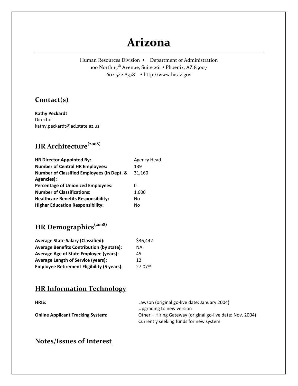## **Arizona**

Human Resources Division • Department of Administration 100 North 15<sup>th</sup> Avenue, Suite 261 • Phoenix, AZ 85007 602.542.8378 http://www.hr.az.gov

#### **Contact(s)**

**Kathy Peckardt** Director kathy.peckardt@ad.state.az.us

### **HR Architecture(2008)**

| <b>HR Director Appointed By:</b>                      | Agency Head |
|-------------------------------------------------------|-------------|
| <b>Number of Central HR Employees:</b>                | 139         |
| <b>Number of Classified Employees (in Dept. &amp;</b> | 31,160      |
| Agencies):                                            |             |
| <b>Percentage of Unionized Employees:</b>             | O           |
| <b>Number of Classifications:</b>                     | 1,600       |
| <b>Healthcare Benefits Responsibility:</b>            | No          |
| <b>Higher Education Responsibility:</b>               | No          |

## **HR Demographics(2008)**

| <b>Average State Salary (Classified):</b>         | \$36,442 |
|---------------------------------------------------|----------|
| <b>Average Benefits Contribution (by state):</b>  | ΝA       |
| <b>Average Age of State Employee (years):</b>     | 45       |
| <b>Average Length of Service (years):</b>         | 12       |
| <b>Employee Retirement Eligibility (5 years):</b> | 27.07%   |

#### **HR Information Technology**

**HRIS:** Lawson (original go-live date: January 2004) Upgrading to new version **Online Applicant Tracking System:** Other – Hiring Gateway (original go-live date: Nov. 2004) Currently seeking funds for new system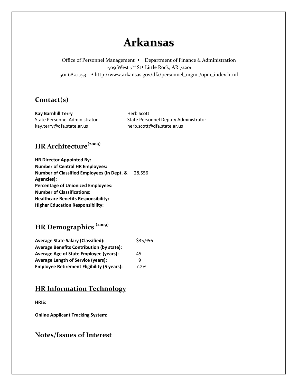## **Arkansas**

Office of Personnel Management • Department of Finance & Administration 1509 West 7<sup>th</sup> St• Little Rock, AR 72201 501.682.1753 http://www.arkansas.gov/dfa/personnel\_mgmt/opm\_index.html

#### **Contact(s)**

**Kay Barnhill Terry** State Personnel Administrator kay.terry@dfa.state.ar.us

Herb Scott State Personnel Deputy Administrator herb.scott@dfa.state.ar.us

### **HR Architecture(2009)**

| <b>HR Director Appointed By:</b>                      |        |
|-------------------------------------------------------|--------|
| <b>Number of Central HR Employees:</b>                |        |
| <b>Number of Classified Employees (in Dept. &amp;</b> | 28.556 |
| Agencies):                                            |        |
| <b>Percentage of Unionized Employees:</b>             |        |
| <b>Number of Classifications:</b>                     |        |
| Healthcare Benefits Responsibility:                   |        |
| <b>Higher Education Responsibility:</b>               |        |

### **HR Demographics (2009)**

| <b>Average State Salary (Classified):</b>         | \$35,956 |
|---------------------------------------------------|----------|
| <b>Average Benefits Contribution (by state):</b>  |          |
| <b>Average Age of State Employee (years):</b>     | 45       |
| <b>Average Length of Service (years):</b>         | q        |
| <b>Employee Retirement Eligibility (5 years):</b> | 7.2%     |

#### **HR Information Technology**

**HRIS:**

**Online Applicant Tracking System:**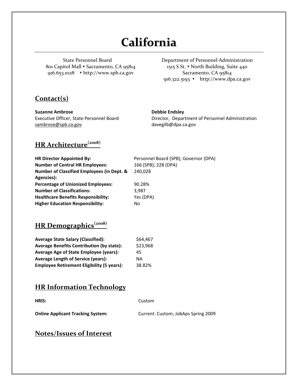# **California**

State Personnel Board 801 Capitol Mall • Sacramento, CA 95814 916.653.1028 http://www.spb.ca.gov

Department of Personnel Administration 1515 S St. North Building, Suite 440 Sacramento, CA 95814 916.322.5193 http://www.dpa.ca.gov

#### **Contact(s)**

**Suzanne Ambrose**  Executive Officer, State Personnel Board sambrose@spb.ca.gov

#### **Debbie Endsley**

Director, Department of Personnel Administration davegilb@dpa.ca.gov

### **HR Architecture(2008)**

| <b>HR Director Appointed By:</b>                      | Personnel Board (SPB); Governor (DPA) |
|-------------------------------------------------------|---------------------------------------|
| <b>Number of Central HR Employees:</b>                | 166 (SPB); 228 (DPA)                  |
| <b>Number of Classified Employees (in Dept. &amp;</b> | 240.028                               |
| Agencies):                                            |                                       |
| <b>Percentage of Unionized Employees:</b>             | 90.28%                                |
| <b>Number of Classifications:</b>                     | 3.987                                 |
| <b>Healthcare Benefits Responsibility:</b>            | Yes (DPA)                             |
| <b>Higher Education Responsibility:</b>               | No                                    |

### **HR Demographics(2008)**

| <b>Average State Salary (Classified):</b>         | \$64,467 |
|---------------------------------------------------|----------|
| <b>Average Benefits Contribution (by state):</b>  | \$23,968 |
| <b>Average Age of State Employee (years):</b>     | 45       |
| <b>Average Length of Service (years):</b>         | ΝA       |
| <b>Employee Retirement Eligibility (5 years):</b> | 38.82%   |

#### **HR Information Technology**

| HRIS:                                    | Custom                              |
|------------------------------------------|-------------------------------------|
| <b>Online Applicant Tracking System:</b> | Current: Custom; JobAps Spring 2009 |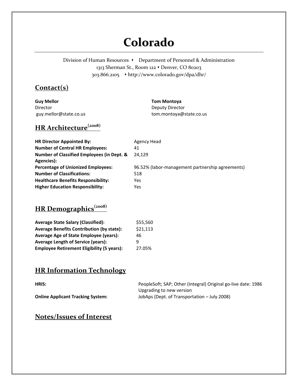# **Colorado**

Division of Human Resources • Department of Personnel & Administration 1313 Sherman St., Room 122 • Denver, CO 80203 303.866.2105 http://www.colorado.gov/dpa/dhr/

### **Contact(s)**

**Guy Mellor** Director guy.mellor@state.co.us

#### **Tom Montoya**

Deputy Director tom.montoya@state.co.us

### **HR Architecture(2008)**

| <b>HR Director Appointed By:</b>                      | Agency Head                                      |
|-------------------------------------------------------|--------------------------------------------------|
| <b>Number of Central HR Employees:</b>                | 41                                               |
| <b>Number of Classified Employees (in Dept. &amp;</b> | 24.129                                           |
| Agencies):                                            |                                                  |
| <b>Percentage of Unionized Employees:</b>             | 96.52% (labor-management partnership agreements) |
| <b>Number of Classifications:</b>                     | 518                                              |
| <b>Healthcare Benefits Responsibility:</b>            | Yes                                              |
| <b>Higher Education Responsibility:</b>               | Yes                                              |

## **HR Demographics(2008)**

| <b>Average State Salary (Classified):</b>         | \$55,560 |
|---------------------------------------------------|----------|
| <b>Average Benefits Contribution (by state):</b>  | \$21,113 |
| Average Age of State Employee (years):            | 46       |
| <b>Average Length of Service (years):</b>         | q        |
| <b>Employee Retirement Eligibility (5 years):</b> | 27.05%   |

#### **HR Information Technology**

| HRIS:                                    | PeopleSoft; SAP; Other (Integral) Original go-live date: 1986 |
|------------------------------------------|---------------------------------------------------------------|
|                                          | Upgrading to new version                                      |
| <b>Online Applicant Tracking System:</b> | JobAps (Dept. of Transportation – July 2008)                  |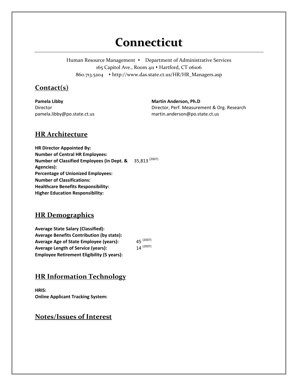## **Connecticut**

Human Resource Management • Department of Administrative Services 165 Capitol Ave., Room 411 . Hartford, CT 06106 860.713.5204 http://www.das.state.ct.us/HR/HR\_Managers.asp

#### **Contact(s)**

**Pamela Libby** Director pamela.libby@po.state.ct.us **Martin Anderson, Ph.D** Director, Perf. Measurement & Org. Research martin.anderson@po.state.ct.us

#### **HR Architecture**

**HR Director Appointed By: Number of Central HR Employees: Number of Classified Employees (in Dept. & Agencies):** 35,813 (2007) **Percentage of Unionized Employees: Number of Classifications: Healthcare Benefits Responsibility: Higher Education Responsibility:**

#### **HR Demographics**

**Average State Salary (Classified): Average Benefits Contribution (by state): Average Age of State Employee (years):** 45<sup>(2007)</sup><br>**Average Length of Service (vears):** 14<sup>(2007)</sup> **Average Length of Service (years): Employee Retirement Eligibility (5 years):**

#### **HR Information Technology**

**HRIS: Online Applicant Tracking System:**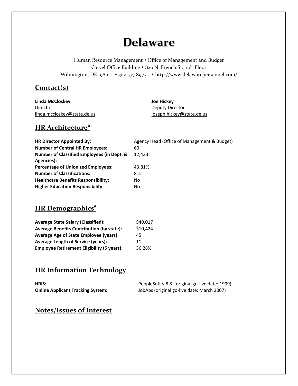## **Delaware**

Human Resource Management  $\bullet$  Office of Management and Budget Carvel Office Building • 820 N. French St., 10<sup>th</sup> Floor Wilmington, DE 19801 + 302.577.8977 + http://www.delawarepersonnel.com/

#### **Contact(s)**

| Linda McCloskey             | Joe Hickey                |
|-----------------------------|---------------------------|
| Director                    | Deputy Director           |
| linda.mccloskey@state.de.us | joseph.hickey@state.de.us |

#### **HR Architecture<sup>a</sup>**

| <b>HR Director Appointed By:</b>                      | Agency Head (Office of Management & Budget) |
|-------------------------------------------------------|---------------------------------------------|
| <b>Number of Central HR Employees:</b>                | 60                                          |
| <b>Number of Classified Employees (in Dept. &amp;</b> | 12.433                                      |
| Agencies):                                            |                                             |
| <b>Percentage of Unionized Employees:</b>             | 43.81%                                      |
| <b>Number of Classifications:</b>                     | 815                                         |
| <b>Healthcare Benefits Responsibility:</b>            | No                                          |
| <b>Higher Education Responsibility:</b>               | No                                          |

### **HR** Demographics<sup>a</sup>

| <b>Average State Salary (Classified):</b>         | \$40,017 |
|---------------------------------------------------|----------|
| <b>Average Benefits Contribution (by state):</b>  | \$10,424 |
| Average Age of State Employee (years):            | 45       |
| <b>Average Length of Service (years):</b>         | 11       |
| <b>Employee Retirement Eligibility (5 years):</b> | 36.28%   |

### **HR Information Technology**

| HRIS:                                    | PeopleSoft v 8.8 (original go-live date: 1999) |
|------------------------------------------|------------------------------------------------|
| <b>Online Applicant Tracking System:</b> | JobAps (original go-live date: March 2007)     |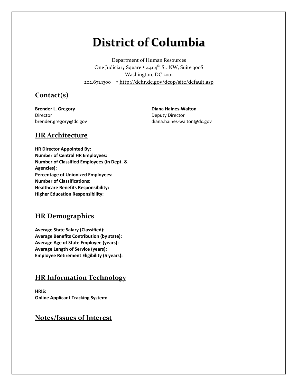# **District of Columbia**

Department of Human Resources One Judiciary Square • 441 4<sup>th</sup> St. NW, Suite 300S Washington, DC 2001 202.671.1300 http://dchr.dc.gov/dcop/site/default.asp

#### **Contact(s)**

**Brender L. Gregory** Director brender.gregory@dc.gov

**Diana Haines‐Walton** Deputy Director diana.haines‐walton@dc.gov

#### **HR Architecture**

**HR Director Appointed By: Number of Central HR Employees: Number of Classified Employees (in Dept. & Agencies): Percentage of Unionized Employees: Number of Classifications: Healthcare Benefits Responsibility: Higher Education Responsibility:**

#### **HR Demographics**

**Average State Salary (Classified): Average Benefits Contribution (by state): Average Age of State Employee (years): Average Length of Service (years): Employee Retirement Eligibility (5 years):**

#### **HR Information Technology**

**HRIS: Online Applicant Tracking System:**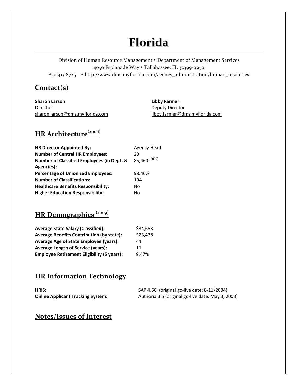# **Florida**

Division of Human Resource Management Department of Management Services 4050 Esplanade Way Tallahassee, FL 32399‐0950 850.413.8725 http://www.dms.myflorida.com/agency\_administration/human\_resources

#### **Contact(s)**

**Sharon Larson**  Director sharon.larson@dms.myflorida.com

**Libby Farmer** Deputy Director libby.farmer@dms.myflorida.com

## **HR Architecture(2008)**

| <b>HR Director Appointed By:</b>           | Agency Head              |
|--------------------------------------------|--------------------------|
| <b>Number of Central HR Employees:</b>     | 20                       |
| Number of Classified Employees (in Dept. & | 85,460 <sup>(2009)</sup> |
| Agencies):                                 |                          |
| <b>Percentage of Unionized Employees:</b>  | 98.46%                   |
| <b>Number of Classifications:</b>          | 194                      |
| <b>Healthcare Benefits Responsibility:</b> | No                       |
| <b>Higher Education Responsibility:</b>    | No                       |

## **HR Demographics (2009)**

| <b>Average State Salary (Classified):</b>         | \$34,653 |
|---------------------------------------------------|----------|
| <b>Average Benefits Contribution (by state):</b>  | \$23,438 |
| Average Age of State Employee (years):            | 44       |
| <b>Average Length of Service (years):</b>         | 11       |
| <b>Employee Retirement Eligibility (5 years):</b> | 9.47%    |

### **HR Information Technology**

| HRIS:                                    | SAP 4.6C (original go-live date: 8-11/2004)       |
|------------------------------------------|---------------------------------------------------|
| <b>Online Applicant Tracking System:</b> | Authoria 3.5 (original go-live date: May 3, 2003) |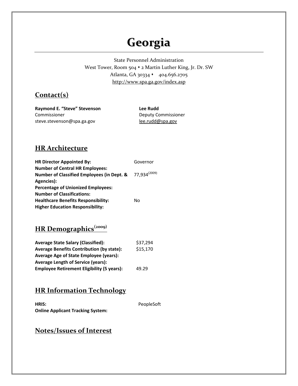# **Georgia**

State Personnel Administration West Tower, Room 504  $\cdot$  2 Martin Luther King, Jr. Dr. SW Atlanta, GA 30334 · 404.656.2705 http://www.spa.ga.gov/index.asp

#### **Contact(s)**

**Raymond E. "Steve" Stevenson** Commissioner steve.stevenson@spa.ga.gov

**Lee Rudd** Deputy Commissioner lee.rudd@spa.gov

#### **HR Architecture**

| <b>HR Director Appointed By:</b>           | Governor                 |
|--------------------------------------------|--------------------------|
| <b>Number of Central HR Employees:</b>     |                          |
| Number of Classified Employees (in Dept. & | 77,934 <sup>(2009)</sup> |
| Agencies):                                 |                          |
| <b>Percentage of Unionized Employees:</b>  |                          |
| <b>Number of Classifications:</b>          |                          |
| <b>Healthcare Benefits Responsibility:</b> | No                       |
| <b>Higher Education Responsibility:</b>    |                          |

**HR Demographics(2009)**

| <b>Average State Salary (Classified):</b>         | \$37,294 |
|---------------------------------------------------|----------|
| <b>Average Benefits Contribution (by state):</b>  | \$15,170 |
| <b>Average Age of State Employee (years):</b>     |          |
| <b>Average Length of Service (years):</b>         |          |
| <b>Employee Retirement Eligibility (5 years):</b> | 49.29    |

#### **HR Information Technology**

| HRIS:                                    | PeopleSoft |
|------------------------------------------|------------|
| <b>Online Applicant Tracking System:</b> |            |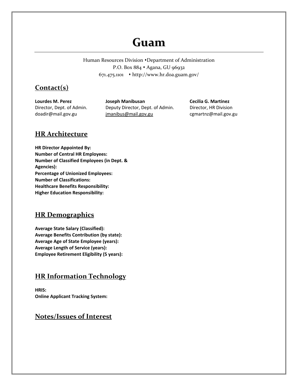## **Guam**

Human Resources Division • Department of Administration P.O. Box 884 · Agana, GU 96932 671.475.1101 http://www.hr.doa.guam.gov/

#### **Contact(s)**

**Lourdes M. Perez** Director, Dept. of Admin. doadir@mail.gov.gu

**Joseph Manibusan** Deputy Director, Dept. of Admin. jmanibus@mail.gov.gu

**Cecilia G. Martinez** Director, HR Division cgmartnz@mail.gov.gu

#### **HR Architecture**

**HR Director Appointed By: Number of Central HR Employees: Number of Classified Employees (in Dept. & Agencies): Percentage of Unionized Employees: Number of Classifications: Healthcare Benefits Responsibility: Higher Education Responsibility:**

#### **HR Demographics**

**Average State Salary (Classified): Average Benefits Contribution (by state): Average Age of State Employee (years): Average Length of Service (years): Employee Retirement Eligibility (5 years):**

#### **HR Information Technology**

**HRIS: Online Applicant Tracking System:**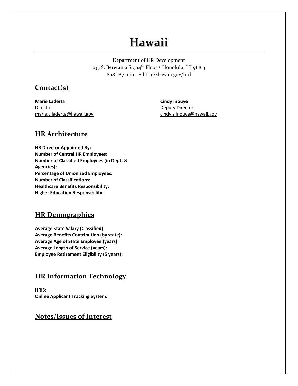## **Hawaii**

Department of HR Development 235 S. Beretania St., 14<sup>th</sup> Floor • Honolulu, HI 96813 808.587.1100 http://hawaii.gov/hrd

#### **Contact(s)**

**Marie Laderta**  Director marie.c.laderta@hawaii.gov **Cindy Inouye** Deputy Director cindy.s.inouye@hawaii.gov

#### **HR Architecture**

**HR Director Appointed By: Number of Central HR Employees: Number of Classified Employees (in Dept. & Agencies): Percentage of Unionized Employees: Number of Classifications: Healthcare Benefits Responsibility: Higher Education Responsibility:**

#### **HR Demographics**

**Average State Salary (Classified): Average Benefits Contribution (by state): Average Age of State Employee (years): Average Length of Service (years): Employee Retirement Eligibility (5 years):**

#### **HR Information Technology**

**HRIS: Online Applicant Tracking System:**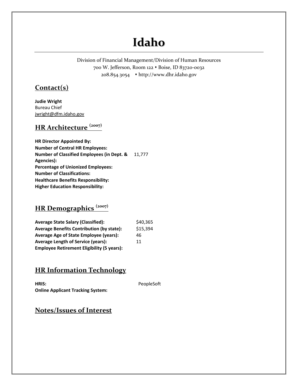# **Idaho**

Division of Financial Management/Division of Human Resources 700 W. Jefferson, Room 122 · Boise, ID 83720-0032 208.854.3054 http://www.dhr.idaho.gov

#### **Contact(s)**

**Judie Wright** Bureau Chief jwright@dfm.idaho.gov

#### **HR Architecture (2007)**

**HR Director Appointed By: Number of Central HR Employees: Number of Classified Employees (in Dept. &** 11,777 **Agencies): Percentage of Unionized Employees: Number of Classifications: Healthcare Benefits Responsibility: Higher Education Responsibility:**

### **HR Demographics (2007)**

| <b>Average State Salary (Classified):</b>         | \$40,365 |
|---------------------------------------------------|----------|
| <b>Average Benefits Contribution (by state):</b>  | \$15,394 |
| <b>Average Age of State Employee (years):</b>     | 46       |
| <b>Average Length of Service (years):</b>         | 11       |
| <b>Employee Retirement Eligibility (5 years):</b> |          |

#### **HR Information Technology**

**HRIS:** PeopleSoft **Online Applicant Tracking System:**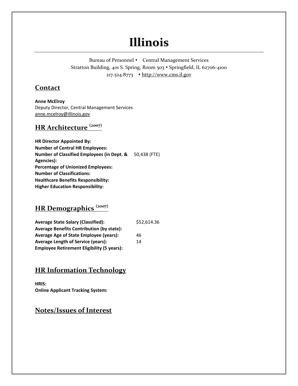## **Illinois**

Bureau of Personnel • Central Management Services Stratton Building, 401 S. Spring, Room 503 • Springfield, IL 62706-4100 217.524.8773 • http://www.cms.il.gov

#### **Contact**

**Anne McElroy**  Deputy Director, Central Management Services anne.mcelroy@illinois.gov

#### **HR Architecture (2007)**

**HR Director Appointed By: Number of Central HR Employees: Number of Classified Employees (in Dept. &** 50,438 (FTE) **Agencies): Percentage of Unionized Employees: Number of Classifications: Healthcare Benefits Responsibility: Higher Education Responsibility:**

### **HR Demographics (2007)**

| <b>Average State Salary (Classified):</b>         | \$52,614.36 |
|---------------------------------------------------|-------------|
| <b>Average Benefits Contribution (by state):</b>  |             |
| <b>Average Age of State Employee (years):</b>     | 46          |
| <b>Average Length of Service (years):</b>         | 14          |
| <b>Employee Retirement Eligibility (5 years):</b> |             |

#### **HR Information Technology**

**HRIS: Online Applicant Tracking System:**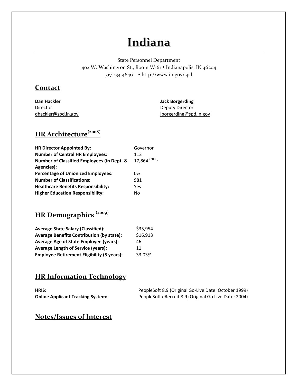## **Indiana**

State Personnel Department 402 W. Washington St., Room W161 Indianapolis, IN 46204 317.234.4646 http://www.in.gov/spd

#### **Contact**

**Dan Hackler**  Director dhackler@spd.in.gov **Jack Borgerding** Deputy Director jborgerding@spd.in.gov

## **HR Architecture(2008)**

| <b>HR Director Appointed By:</b>                      | Governor      |
|-------------------------------------------------------|---------------|
| <b>Number of Central HR Employees:</b>                | 112           |
| <b>Number of Classified Employees (in Dept. &amp;</b> | 17,864 (2009) |
| Agencies):                                            |               |
| <b>Percentage of Unionized Employees:</b>             | 0%            |
| <b>Number of Classifications:</b>                     | 981           |
| <b>Healthcare Benefits Responsibility:</b>            | Yes           |
| <b>Higher Education Responsibility:</b>               | No            |

## **HR Demographics (2009)**

| <b>Average State Salary (Classified):</b>         | \$35,954 |
|---------------------------------------------------|----------|
| <b>Average Benefits Contribution (by state):</b>  | \$16,913 |
| Average Age of State Employee (years):            | 46       |
| <b>Average Length of Service (years):</b>         | 11       |
| <b>Employee Retirement Eligibility (5 years):</b> | 33.03%   |

#### **HR Information Technology**

| HRIS:                                    | PeopleSoft 8.9 (Original Go-Live Date: October 1999)  |
|------------------------------------------|-------------------------------------------------------|
| <b>Online Applicant Tracking System:</b> | PeopleSoft eRecruit 8.9 (Original Go Live Date: 2004) |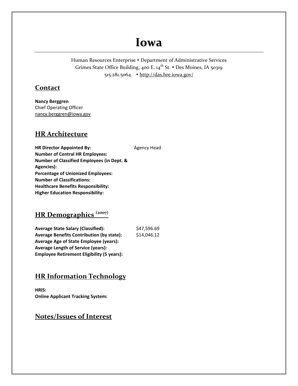## **Iowa**

Human Resources Enterprise • Department of Administrative Services Grimes State Office Building, 400 E. 14<sup>th</sup> St. • Des Moines, IA 50319 515.281.5064 http://das.hre.iowa.gov/

#### **Contact**

**Nancy Berggren**  Chief Operating Officer nancy.berggren@iowa.gov

#### **HR Architecture**

**HR Director Appointed By:** Agency Head **Number of Central HR Employees: Number of Classified Employees (in Dept. & Agencies): Percentage of Unionized Employees: Number of Classifications: Healthcare Benefits Responsibility: Higher Education Responsibility:**

## **HR Demographics (2007)**

**Average State Salary (Classified):** \$47,596.69 **Average Benefits Contribution (by state):** \$14,046.12 **Average Age of State Employee (years): Average Length of Service (years): Employee Retirement Eligibility (5 years):**

#### **HR Information Technology**

**HRIS: Online Applicant Tracking System:**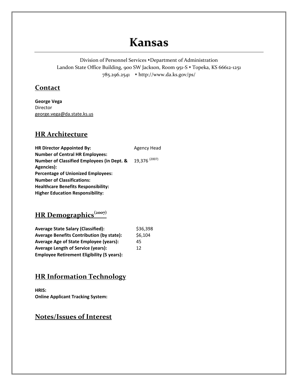## **Kansas**

Division of Personnel Services • Department of Administration Landon State Office Building, 900 SW Jackson, Room 951-S • Topeka, KS 66612-1251 785.296.2541 http://www.da.ks.gov/ps/

#### **Contact**

**George Vega**  Director george.vega@da.state.ks.us

#### **HR Architecture**

| Agency Head              |
|--------------------------|
|                          |
| 19,376 <sup>(2007)</sup> |
|                          |
|                          |
|                          |
|                          |
|                          |
|                          |

## **HR Demographics(2007)**

| <b>Average State Salary (Classified):</b>         | \$36,398 |
|---------------------------------------------------|----------|
| <b>Average Benefits Contribution (by state):</b>  | \$6,104  |
| Average Age of State Employee (years):            | 45       |
| <b>Average Length of Service (years):</b>         | 12       |
| <b>Employee Retirement Eligibility (5 years):</b> |          |

#### **HR Information Technology**

**HRIS: Online Applicant Tracking System:**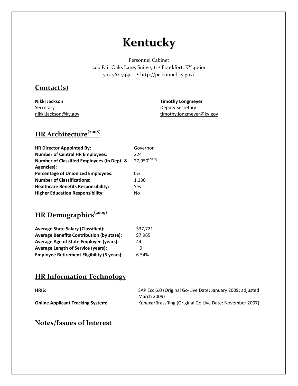# **Kentucky**

Personnel Cabinet 200 Fair Oaks Lane, Suite 516 Frankfort, KY 40601 502.564.7430 • http://personnel.ky.gov/

#### **Contact(s)**

**Nikki Jackson** Secretary nikki.jackson@ky.gov **Timothy Longmeyer** Deputy Secretary timothy.longmeyer@ky.gov

### **HR Architecture(2008)**

| <b>HR Director Appointed By:</b>                      | Governor                 |
|-------------------------------------------------------|--------------------------|
| <b>Number of Central HR Employees:</b>                | 224                      |
| <b>Number of Classified Employees (in Dept. &amp;</b> | 27,950 <sup>(2009)</sup> |
| Agencies):                                            |                          |
| <b>Percentage of Unionized Employees:</b>             | 0%                       |
| <b>Number of Classifications:</b>                     | 1,130                    |
| <b>Healthcare Benefits Responsibility:</b>            | Yes                      |
| <b>Higher Education Responsibility:</b>               | No                       |

## **HR Demographics(2009)**

| <b>Average State Salary (Classified):</b>         | \$37,721 |
|---------------------------------------------------|----------|
| <b>Average Benefits Contribution (by state):</b>  | \$7,965  |
| <b>Average Age of State Employee (years):</b>     | 44       |
| <b>Average Length of Service (years):</b>         | q        |
| <b>Employee Retirement Eligibility (5 years):</b> | 6.54%    |

#### **HR Information Technology**

| HRIS:                                    | SAP Ecc 6.0 (Original Go-Live Date: January 2009; adjusted |
|------------------------------------------|------------------------------------------------------------|
|                                          | March 2009)                                                |
| <b>Online Applicant Tracking System:</b> | Kenexa/BrassRing (Original Go Live Date: November 2007)    |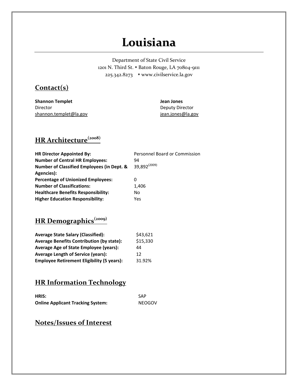## **Louisiana**

Department of State Civil Service 1201 N. Third St. • Baton Rouge, LA 70804-9111 225.342.8273 www.civilservice.la.gov

#### **Contact(s)**

| <b>Shannon Templet</b> | Jean Jones        |
|------------------------|-------------------|
| Director               | Deputy Director   |
| shannon.templet@la.gov | jean.jones@la.gov |

## **HR Architecture(2008)**

| <b>HR Director Appointed By:</b>                      | Personnel Board or Commission |
|-------------------------------------------------------|-------------------------------|
| <b>Number of Central HR Employees:</b>                | 94                            |
| <b>Number of Classified Employees (in Dept. &amp;</b> | 39.892 <sup>(2009)</sup>      |
| Agencies):                                            |                               |
| <b>Percentage of Unionized Employees:</b>             | 0                             |
| <b>Number of Classifications:</b>                     | 1,406                         |
| <b>Healthcare Benefits Responsibility:</b>            | No                            |
| <b>Higher Education Responsibility:</b>               | Yes                           |

## **HR Demographics(2009)**

| <b>Average State Salary (Classified):</b>         | \$43,621 |
|---------------------------------------------------|----------|
| <b>Average Benefits Contribution (by state):</b>  | \$15,330 |
| Average Age of State Employee (years):            | 44       |
| <b>Average Length of Service (years):</b>         | 12       |
| <b>Employee Retirement Eligibility (5 years):</b> | 31.92%   |

### **HR Information Technology**

| HRIS:                                    | SAP    |
|------------------------------------------|--------|
| <b>Online Applicant Tracking System:</b> | NEOGOV |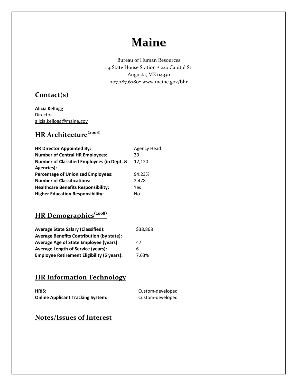## **Maine**

Bureau of Human Resources #4 State House Station • 220 Capitol St. Augusta, ME 04330 207.287.6780 www.maine.gov/bhr

#### **Contact(s)**

**Alicia Kellogg** Director alicia.kellogg@maine.gov

## **HR Architecture(2008)**

| <b>HR Director Appointed By:</b>                      | <b>Agency Head</b> |
|-------------------------------------------------------|--------------------|
| <b>Number of Central HR Employees:</b>                | 39                 |
| <b>Number of Classified Employees (in Dept. &amp;</b> | 12,120             |
| Agencies):                                            |                    |
| <b>Percentage of Unionized Employees:</b>             | 94.23%             |
| <b>Number of Classifications:</b>                     | 2,478              |
| <b>Healthcare Benefits Responsibility:</b>            | Yes                |
| <b>Higher Education Responsibility:</b>               | No                 |

## **HR Demographics(2008)**

| <b>Average State Salary (Classified):</b>         | \$38,868 |
|---------------------------------------------------|----------|
| <b>Average Benefits Contribution (by state):</b>  |          |
| Average Age of State Employee (years):            | 47       |
| <b>Average Length of Service (years):</b>         | h        |
| <b>Employee Retirement Eligibility (5 years):</b> | 7.63%    |

### **HR Information Technology**

| HRIS:                                    | Custom-developed |
|------------------------------------------|------------------|
| <b>Online Applicant Tracking System:</b> | Custom-developed |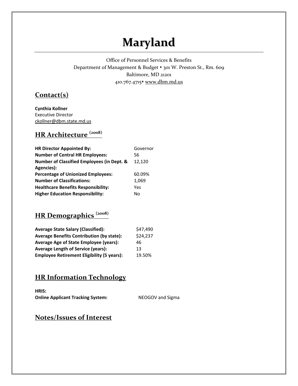# **Maryland**

Office of Personnel Services & Benefits Department of Management & Budget • 301 W. Preston St., Rm. 609 Baltimore, MD 21201 410.767.4715 \* www.dbm.md.us

#### **Contact(s)**

**Cynthia Kollner** Executive Director ckollner@dbm.state.md.us

## **HR Architecture (2008)**

| <b>HR Director Appointed By:</b>                      | Governor |
|-------------------------------------------------------|----------|
| <b>Number of Central HR Employees:</b>                | 56       |
| <b>Number of Classified Employees (in Dept. &amp;</b> | 12.120   |
| Agencies):                                            |          |
| <b>Percentage of Unionized Employees:</b>             | 60.09%   |
| <b>Number of Classifications:</b>                     | 1,069    |
| <b>Healthcare Benefits Responsibility:</b>            | Yes      |
| <b>Higher Education Responsibility:</b>               | No       |

## **HR Demographics (2008)**

| <b>Average State Salary (Classified):</b>         | \$47,490 |
|---------------------------------------------------|----------|
| <b>Average Benefits Contribution (by state):</b>  | \$24,237 |
| Average Age of State Employee (years):            | 46       |
| <b>Average Length of Service (years):</b>         | 13       |
| <b>Employee Retirement Eligibility (5 years):</b> | 19.50%   |

### **HR Information Technology**

**HRIS: Online Applicant Tracking System:** NEOGOV and Sigma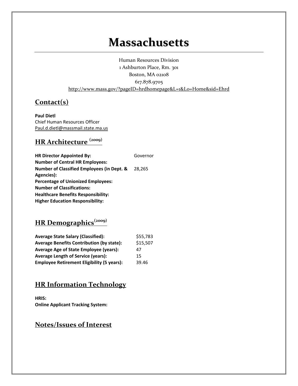## **Massachusetts**

Human Resources Division 1 Ashburton Place, Rm. 301 Boston, MA 02108 617.878.9705 http://www.mass.gov/?pageID=hrdhomepage&L=1&L0=Home&sid=Ehrd

#### **Contact(s)**

**Paul Dietl** Chief Human Resources Officer Paul.d.dietl@massmail.state.ma.us

## **HR Architecture (2009)**

| <b>HR Director Appointed By:</b>                      | Governor |
|-------------------------------------------------------|----------|
| <b>Number of Central HR Employees:</b>                |          |
| <b>Number of Classified Employees (in Dept. &amp;</b> | 28.265   |
| Agencies):                                            |          |
| <b>Percentage of Unionized Employees:</b>             |          |
| <b>Number of Classifications:</b>                     |          |
| Healthcare Benefits Responsibility:                   |          |
| <b>Higher Education Responsibility:</b>               |          |

## **HR Demographics(2009)**

| <b>Average State Salary (Classified):</b>         | \$55,783 |
|---------------------------------------------------|----------|
| <b>Average Benefits Contribution (by state):</b>  | \$15,507 |
| Average Age of State Employee (years):            | 47       |
| <b>Average Length of Service (years):</b>         | 15       |
| <b>Employee Retirement Eligibility (5 years):</b> | 39.46    |

#### **HR Information Technology**

**HRIS: Online Applicant Tracking System:**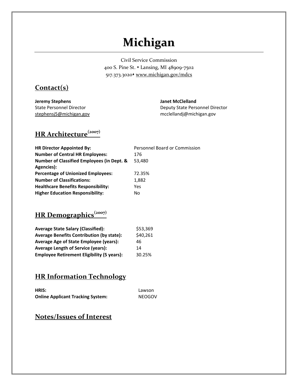# **Michigan**

Civil Service Commission 400 S. Pine St. Lansing, MI 48909‐7502 517.373.3020\* www.michigan.gov/mdcs

#### **Contact(s)**

**Jeremy Stephens** State Personnel Director stephensj5@michigan.gov **Janet McClelland** Deputy State Personnel Director mcclellandj@michigan.gov

### **HR Architecture(2007)**

| <b>HR Director Appointed By:</b>                      | Personnel Board or Commission |
|-------------------------------------------------------|-------------------------------|
| <b>Number of Central HR Employees:</b>                | 176                           |
| <b>Number of Classified Employees (in Dept. &amp;</b> | 53.480                        |
| Agencies):                                            |                               |
| <b>Percentage of Unionized Employees:</b>             | 72.35%                        |
| <b>Number of Classifications:</b>                     | 1,882                         |
| <b>Healthcare Benefits Responsibility:</b>            | Yes                           |
| <b>Higher Education Responsibility:</b>               | No                            |

## **HR Demographics(2007)**

| <b>Average State Salary (Classified):</b>         | \$53,369 |
|---------------------------------------------------|----------|
| <b>Average Benefits Contribution (by state):</b>  | \$40,261 |
| Average Age of State Employee (years):            | 46       |
| <b>Average Length of Service (years):</b>         | 14       |
| <b>Employee Retirement Eligibility (5 years):</b> | 30.25%   |

#### **HR Information Technology**

| HRIS:                                    | Lawson |
|------------------------------------------|--------|
| <b>Online Applicant Tracking System:</b> | NEOGOV |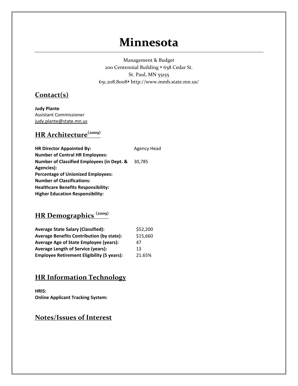## **Minnesota**

Management & Budget 200 Centennial Building • 658 Cedar St. St. Paul, MN 55155 651.208.8008 http://www.mmb.state.mn.us/

#### **Contact(s)**

**Judy Plante** Assistant Commissioner judy.plante@state.mn.us

## **HR Architecture(2009)**

| <b>HR Director Appointed By:</b>                      | <b>Agency Head</b> |
|-------------------------------------------------------|--------------------|
| <b>Number of Central HR Employees:</b>                |                    |
| <b>Number of Classified Employees (in Dept. &amp;</b> | 30,785             |
| Agencies):                                            |                    |
| <b>Percentage of Unionized Employees:</b>             |                    |
| <b>Number of Classifications:</b>                     |                    |
| <b>Healthcare Benefits Responsibility:</b>            |                    |
| <b>Higher Education Responsibility:</b>               |                    |
|                                                       |                    |

## **HR Demographics (2009)**

| <b>Average State Salary (Classified):</b>         | \$52,200 |
|---------------------------------------------------|----------|
| <b>Average Benefits Contribution (by state):</b>  | \$15,660 |
| Average Age of State Employee (years):            | 47       |
| <b>Average Length of Service (years):</b>         | 13       |
| <b>Employee Retirement Eligibility (5 years):</b> | 21.65%   |

### **HR Information Technology**

**HRIS: Online Applicant Tracking System:**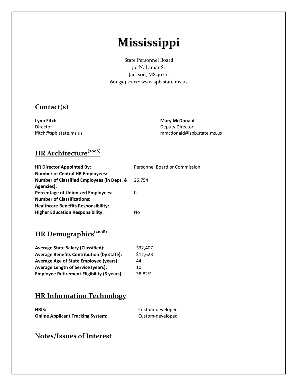# **Mississippi**

State Personnel Board 301 N. Lamar St. Jackson, MS 39201 601.359.2702 www.spb.state.ms.us

#### **Contact(s)**

**Lynn Fitch** Director lfitch@spb.state.ms.us **Mary McDonald** Deputy Director mmcdonald@spb.state.ms.us

## **HR Architecture(2008)**

| <b>HR Director Appointed By:</b>                      | Personnel Board or Commission |
|-------------------------------------------------------|-------------------------------|
| <b>Number of Central HR Employees:</b>                |                               |
| <b>Number of Classified Employees (in Dept. &amp;</b> | 26.754                        |
| Agencies):                                            |                               |
| <b>Percentage of Unionized Employees:</b>             | 0                             |
| <b>Number of Classifications:</b>                     |                               |
| <b>Healthcare Benefits Responsibility:</b>            |                               |
| <b>Higher Education Responsibility:</b>               | No                            |

## **HR Demographics(2008)**

| <b>Average State Salary (Classified):</b>         | \$32,407 |
|---------------------------------------------------|----------|
| <b>Average Benefits Contribution (by state):</b>  | \$11,623 |
| Average Age of State Employee (years):            | 44       |
| <b>Average Length of Service (years):</b>         | 10       |
| <b>Employee Retirement Eligibility (5 years):</b> | 38.82%   |

### **HR Information Technology**

| HRIS:                                    | Custom-developed |
|------------------------------------------|------------------|
| <b>Online Applicant Tracking System:</b> | Custom-developed |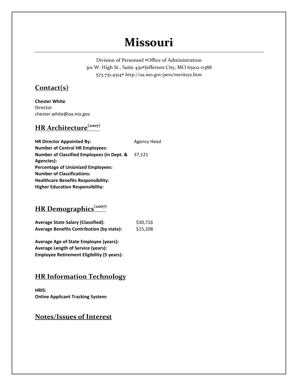## **Missouri**

Division of Personnel  $\cdot$ Office of Administration 301 W. High St., Suite 430\*Jefferson City, MO 65102-0388 573.751.4514 http://oa.mo.gov/pers/meritsys.htm

#### **Contact(s)**

**Chester White** Director chester.white@oa.mo.gov

### **HR Architecture(2007)**

**HR Director Appointed By:** Agency Head **Number of Central HR Employees: Number of Classified Employees (in Dept. &** 37,121 **Agencies): Percentage of Unionized Employees: Number of Classifications: Healthcare Benefits Responsibility: Higher Education Responsibility:**

#### **HR Demographics(2007)**

| <b>Average State Salary (Classified):</b>        | \$30,716 |
|--------------------------------------------------|----------|
| <b>Average Benefits Contribution (by state):</b> | \$15,208 |

**Average Age of State Employee (years): Average Length of Service (years): Employee Retirement Eligibility (5 years):**

### **HR Information Technology**

**HRIS: Online Applicant Tracking System:**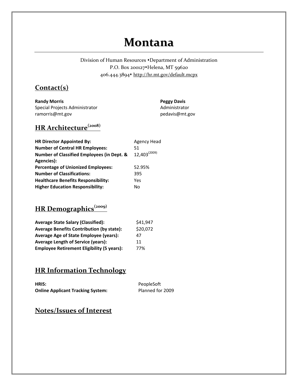## **Montana**

Division of Human Resources • Department of Administration P.O. Box 200127 Helena, MT 59620 406.444.3894 http://hr.mt.gov/default.mcpx

#### **Contact(s)**

**Randy Morris** Special Projects Administrator ramorris@mt.gov

**Peggy Davis** Administrator pedavis@mt.gov

### **HR Architecture(2008)**

| Agency Head       |
|-------------------|
| 51                |
| $12,403^{(2009)}$ |
|                   |
| 52.95%            |
| 395               |
| Yes               |
| No                |
|                   |

## **HR Demographics(2009)**

| <b>Average State Salary (Classified):</b>         | \$41,947 |
|---------------------------------------------------|----------|
| <b>Average Benefits Contribution (by state):</b>  | \$20,072 |
| <b>Average Age of State Employee (years):</b>     | 47       |
| <b>Average Length of Service (years):</b>         | 11       |
| <b>Employee Retirement Eligibility (5 years):</b> | 77%      |

#### **HR Information Technology**

| HRIS:                                    | PeopleSoft       |
|------------------------------------------|------------------|
| <b>Online Applicant Tracking System:</b> | Planned for 2009 |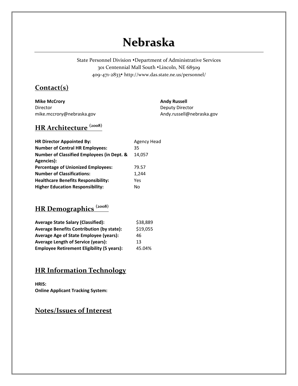# **Nebraska**

State Personnel Division • Department of Administrative Services 301 Centennial Mall South Lincoln, NE 68509 409‐471‐2833 http://www.das.state.ne.us/personnel/

#### **Contact(s)**

**Mike McCrory** Director mike.mccrory@nebraska.gov **Andy Russell** Deputy Director Andy.russell@nebraska.gov

### **HR Architecture (2008)**

| <b>HR Director Appointed By:</b>                      | Agency Head |
|-------------------------------------------------------|-------------|
| <b>Number of Central HR Employees:</b>                | 35          |
| <b>Number of Classified Employees (in Dept. &amp;</b> | 14.057      |
| Agencies):                                            |             |
| <b>Percentage of Unionized Employees:</b>             | 79.57       |
| <b>Number of Classifications:</b>                     | 1,244       |
| <b>Healthcare Benefits Responsibility:</b>            | Yes         |
| <b>Higher Education Responsibility:</b>               | No          |

### **HR Demographics (2008)**

| <b>Average State Salary (Classified):</b>         | \$38,889 |
|---------------------------------------------------|----------|
| <b>Average Benefits Contribution (by state):</b>  | \$19,055 |
| <b>Average Age of State Employee (years):</b>     | 46       |
| <b>Average Length of Service (years):</b>         | 13       |
| <b>Employee Retirement Eligibility (5 years):</b> | 45.04%   |

#### **HR Information Technology**

**HRIS: Online Applicant Tracking System:**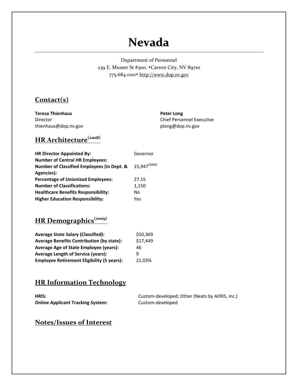## **Nevada**

Department of Personnel 239 E. Musser St #300.  $\cdot$ Carson City, NV 89710 775.684.0101\* http://www.dop.nv.gov

#### **Contact(s)**

**Teresa Thienhaus** Director thienhaus@dop.nv.gov **Peter Long** Chief Personnel Executive plong@dop.nv.gov

### **HR Architecture(2008)**

| <b>HR Director Appointed By:</b>                      | Governor                 |
|-------------------------------------------------------|--------------------------|
| <b>Number of Central HR Employees:</b>                |                          |
| <b>Number of Classified Employees (in Dept. &amp;</b> | 15,947 <sup>(2009)</sup> |
| Agencies):                                            |                          |
| <b>Percentage of Unionized Employees:</b>             | 27.15                    |
| <b>Number of Classifications:</b>                     | 1,150                    |
| <b>Healthcare Benefits Responsibility:</b>            | No                       |
| <b>Higher Education Responsibility:</b>               | Yes                      |

### **HR Demographics(2009)**

| <b>Average State Salary (Classified):</b>         | \$50,369 |
|---------------------------------------------------|----------|
| <b>Average Benefits Contribution (by state):</b>  | \$17,449 |
| <b>Average Age of State Employee (years):</b>     | 46       |
| <b>Average Length of Service (years):</b>         | q        |
| <b>Employee Retirement Eligibility (5 years):</b> | 21.03%   |

### **HR Information Technology**

**HRIS:** Custom-developed; Other (Neats by AERIS, inc.) **Online Applicant Tracking System:** Custom‐developed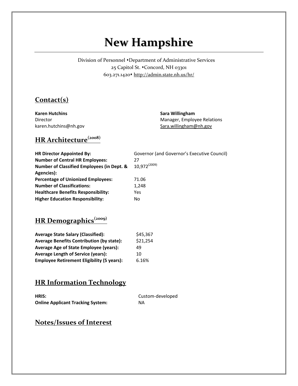# **New Hampshire**

Division of Personnel  $\bullet$  Department of Administrative Services 25 Capitol St.  $\bullet$ Concord, NH 03301 603.271.1420 http://admin.state.nh.us/hr/

#### **Contact(s)**

**Karen Hutchins** Director karen.hutchins@nh.gov **Sara Willingham** Manager, Employee Relations Sara.willingham@nh.gov

## **HR Architecture(2008)**

| <b>HR Director Appointed By:</b>                      | Governor (and Governor's Executive Council) |
|-------------------------------------------------------|---------------------------------------------|
| <b>Number of Central HR Employees:</b>                | 27                                          |
| <b>Number of Classified Employees (in Dept. &amp;</b> | $10.972^{(2009)}$                           |
| Agencies):                                            |                                             |
| <b>Percentage of Unionized Employees:</b>             | 71.06                                       |
| <b>Number of Classifications:</b>                     | 1,248                                       |
| <b>Healthcare Benefits Responsibility:</b>            | Yes                                         |
| <b>Higher Education Responsibility:</b>               | No.                                         |

### **HR Demographics(2009)**

| <b>Average State Salary (Classified):</b>         | \$45,367 |
|---------------------------------------------------|----------|
| <b>Average Benefits Contribution (by state):</b>  | \$21,254 |
| Average Age of State Employee (years):            | 49       |
| <b>Average Length of Service (years):</b>         | 10       |
| <b>Employee Retirement Eligibility (5 years):</b> | 6.16%    |

#### **HR Information Technology**

| HRIS:                                    | Custom-developed |
|------------------------------------------|------------------|
| <b>Online Applicant Tracking System:</b> | NA.              |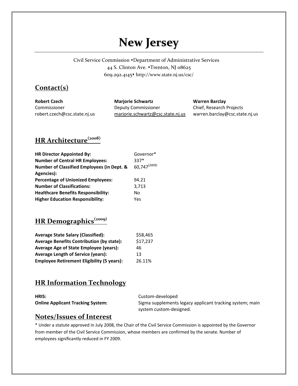# **New Jersey**

Civil Service Commission • Department of Administrative Services 44 S. Clinton Ave. • Trenton, NJ 08625 609.292.4145 http://www.state.nj.us/csc/

#### **Contact(s)**

| <b>Robert Czech</b>          | <b>Marjorie Schwartz</b>          | <b>Warren Barclay</b>          |
|------------------------------|-----------------------------------|--------------------------------|
| Commissioner                 | Deputy Commissioner               | Chief, Research Projects       |
| robert.czech@csc.state.nj.us | marjorie.schwartz@csc.state.nj.us | warren.barclay@csc.state.nj.us |

## **HR Architecture(2008)**

| <b>HR Director Appointed By:</b>                      | Governor*    |
|-------------------------------------------------------|--------------|
| <b>Number of Central HR Employees:</b>                | $337*$       |
| <b>Number of Classified Employees (in Dept. &amp;</b> | 60,747(2009) |
| Agencies):                                            |              |
| <b>Percentage of Unionized Employees:</b>             | 94.21        |
| <b>Number of Classifications:</b>                     | 3,713        |
| <b>Healthcare Benefits Responsibility:</b>            | No.          |
| <b>Higher Education Responsibility:</b>               | Yes          |

### **HR Demographics(2009)**

| <b>Average State Salary (Classified):</b>         | \$58,465 |
|---------------------------------------------------|----------|
| <b>Average Benefits Contribution (by state):</b>  | \$17,237 |
| Average Age of State Employee (years):            | 46       |
| <b>Average Length of Service (years):</b>         | 13       |
| <b>Employee Retirement Eligibility (5 years):</b> | 26.11%   |

#### **HR Information Technology**

| HRIS:                                    |  |
|------------------------------------------|--|
| <b>Online Applicant Tracking System:</b> |  |

Custom-developed **Sigma supplements legacy applicant tracking system; main** system custom‐designed.

#### **Notes/Issues of Interest**

\* Under a statute approved in July 2008, the Chair of the Civil Service Commission is appointed by the Governor from member of the Civil Service Commission, whose members are confirmed by the senate. Number of employees significantly reduced in FY 2009.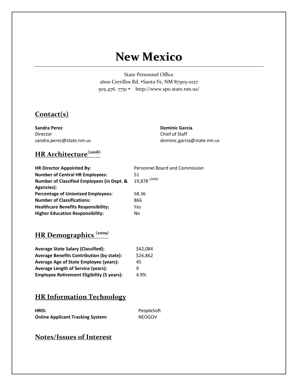## **New Mexico**

State Personnel Office 2600 Cerrillos Rd. • Santa Fe, NM 87505-0127 505.476. 7751 • http://www.spo.state.nm.us/

#### **Contact(s)**

**Sandra Perez** Director sandra.perez@state.nm.us **Dominic Garcia** Chief of Staff dominic.garcia@state.nm.us

## **HR Architecture(2008)**

| <b>HR Director Appointed By:</b>                      | Personnel Board and Commission |
|-------------------------------------------------------|--------------------------------|
| <b>Number of Central HR Employees:</b>                | 51                             |
| <b>Number of Classified Employees (in Dept. &amp;</b> | 19,878 <sup>(2009)</sup>       |
| Agencies):                                            |                                |
| <b>Percentage of Unionized Employees:</b>             | 58.36                          |
| <b>Number of Classifications:</b>                     | 866                            |
| <b>Healthcare Benefits Responsibility:</b>            | Yes                            |
| <b>Higher Education Responsibility:</b>               | No                             |

## **HR Demographics (2009)**

| <b>Average State Salary (Classified):</b>         | \$42,084 |
|---------------------------------------------------|----------|
| <b>Average Benefits Contribution (by state):</b>  | \$26,862 |
| Average Age of State Employee (years):            | 45       |
| <b>Average Length of Service (years):</b>         | q        |
| <b>Employee Retirement Eligibility (5 years):</b> | 4.9%     |

### **HR Information Technology**

| HRIS:                                    | PeopleSoft    |
|------------------------------------------|---------------|
| <b>Online Applicant Tracking System:</b> | <b>NEOGOV</b> |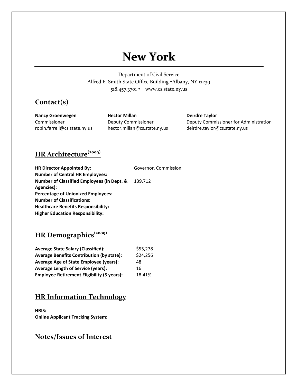# **New York**

Department of Civil Service Alfred E. Smith State Office Building \*Albany, NY 12239 518.457.3701 www.cs.state.ny.us

#### **Contact(s)**

**Nancy Groenwegen** Commissioner robin.farrell@cs.state.ny.us **Hector Millan** Deputy Commissioner hector.millan@cs.state.ny.us **Deirdre Taylor** Deputy Commissioner for Administration deirdre.taylor@cs.state.ny.us

### **HR Architecture(2009)**

| <b>HR Director Appointed By:</b>                      | Governor, Commission |
|-------------------------------------------------------|----------------------|
| <b>Number of Central HR Employees:</b>                |                      |
| <b>Number of Classified Employees (in Dept. &amp;</b> | 139.712              |
| Agencies):                                            |                      |
| <b>Percentage of Unionized Employees:</b>             |                      |
| <b>Number of Classifications:</b>                     |                      |
| <b>Healthcare Benefits Responsibility:</b>            |                      |
| <b>Higher Education Responsibility:</b>               |                      |

## **HR Demographics(2009)**

| <b>Average State Salary (Classified):</b>         | \$55,278 |
|---------------------------------------------------|----------|
| <b>Average Benefits Contribution (by state):</b>  | \$24,256 |
| Average Age of State Employee (years):            | 48       |
| <b>Average Length of Service (years):</b>         | 16       |
| <b>Employee Retirement Eligibility (5 years):</b> | 18.41%   |

#### **HR Information Technology**

**HRIS: Online Applicant Tracking System:**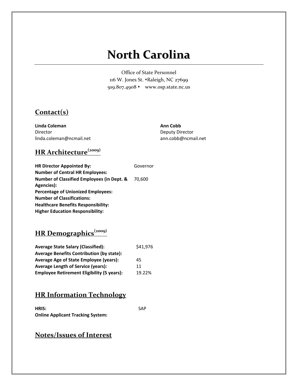# **North Carolina**

Office of State Personnel 116 W. Jones St. • Raleigh, NC 27699 919.807.4908 www.osp.state.nc.us

#### **Contact(s)**

**Linda Coleman** Director linda.coleman@ncmail.net **Ann Cobb** Deputy Director ann.cobb@ncmail.net

## **HR Architecture(2009)**

| <b>HR Director Appointed By:</b>                      | Governor |
|-------------------------------------------------------|----------|
| <b>Number of Central HR Employees:</b>                |          |
| <b>Number of Classified Employees (in Dept. &amp;</b> | 70.600   |
| Agencies):                                            |          |
| <b>Percentage of Unionized Employees:</b>             |          |
| <b>Number of Classifications:</b>                     |          |
| Healthcare Benefits Responsibility:                   |          |
| <b>Higher Education Responsibility:</b>               |          |

## **HR Demographics(2009)**

| <b>Average State Salary (Classified):</b>         | \$41,976 |
|---------------------------------------------------|----------|
| <b>Average Benefits Contribution (by state):</b>  |          |
| <b>Average Age of State Employee (years):</b>     | 45       |
| <b>Average Length of Service (years):</b>         | 11       |
| <b>Employee Retirement Eligibility (5 years):</b> | 19.22%   |

#### **HR Information Technology**

| HRIS:                                    | <b>SAP</b> |
|------------------------------------------|------------|
| <b>Online Applicant Tracking System:</b> |            |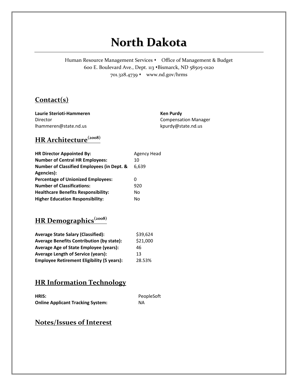# **North Dakota**

Human Resource Management Services • Office of Management & Budget 600 E. Boulevard Ave., Dept. 113 \*Bismarck, ND 58505-0120 701.328.4739 www.nd.gov/hrms

#### **Contact(s)**

**Laurie Sterioti‐Hammeren** Director lhammeren@state.nd.us

**Ken Purdy** Compensation Manager kpurdy@state.nd.us

## **HR Architecture(2008)**

| <b>HR Director Appointed By:</b>                      | Agency Head |
|-------------------------------------------------------|-------------|
| <b>Number of Central HR Employees:</b>                | 10          |
| <b>Number of Classified Employees (in Dept. &amp;</b> | 6.639       |
| Agencies):                                            |             |
| <b>Percentage of Unionized Employees:</b>             | 0           |
| <b>Number of Classifications:</b>                     | 920         |
| <b>Healthcare Benefits Responsibility:</b>            | No          |
| <b>Higher Education Responsibility:</b>               | No          |

## **HR Demographics(2008)**

| <b>Average State Salary (Classified):</b>         | \$39,624 |
|---------------------------------------------------|----------|
| <b>Average Benefits Contribution (by state):</b>  | \$21,000 |
| Average Age of State Employee (years):            | 46       |
| <b>Average Length of Service (years):</b>         | 13       |
| <b>Employee Retirement Eligibility (5 years):</b> | 28.53%   |

### **HR Information Technology**

| HRIS:                                    | PeopleSoft |
|------------------------------------------|------------|
| <b>Online Applicant Tracking System:</b> | NA.        |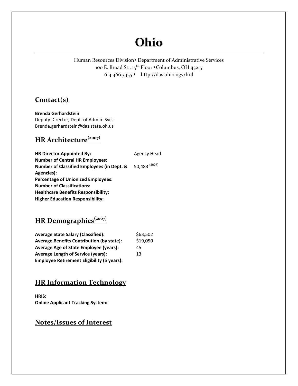# **Ohio**

Human Resources Division<sup>\*</sup> Department of Administrative Services 100 E. Broad St., 15<sup>th</sup> Floor •Columbus, OH 43215 614.466.3455 http://das.ohio.ogv/hrd

#### **Contact(s)**

**Brenda Gerhardstein** Deputy Director, Dept. of Admin. Svcs. Brenda.gerhardstein@das.state.oh.us

## **HR Architecture(2007)**

**HR** Director Appointed By: Agency Head **Number of Central HR Employees: Number of Classified Employees (in Dept. & Agencies):** 50,483 (2007) **Percentage of Unionized Employees: Number of Classifications: Healthcare Benefits Responsibility: Higher Education Responsibility:**

### **HR** Demographics<sup>(2007)</sup>

| <b>Average State Salary (Classified):</b>         | \$63,502 |
|---------------------------------------------------|----------|
| <b>Average Benefits Contribution (by state):</b>  | \$19,050 |
| <b>Average Age of State Employee (years):</b>     | 45       |
| <b>Average Length of Service (years):</b>         | 13       |
| <b>Employee Retirement Eligibility (5 years):</b> |          |

#### **HR Information Technology**

**HRIS: Online Applicant Tracking System:**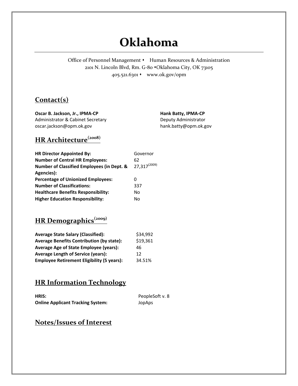# **Oklahoma**

Office of Personnel Management • Human Resources & Administration 2101 N. Lincoln Blvd, Rm. G-80  $\bullet$ Oklahoma City, OK 73105 405.521.6301 www.ok.gov/opm

#### **Contact(s)**

**Oscar B. Jackson, Jr., IPMA‐CP** Administrator & Cabinet Secretary oscar.jackson@opm.ok.gov

**Hank Batty, IPMA‐CP** Deputy Administrator hank.batty@opm.ok.gov

## **HR Architecture(2008)**

| <b>HR Director Appointed By:</b>           | Governor                 |
|--------------------------------------------|--------------------------|
| <b>Number of Central HR Employees:</b>     | 62                       |
| Number of Classified Employees (in Dept. & | 27,317 <sup>(2009)</sup> |
| Agencies):                                 |                          |
| <b>Percentage of Unionized Employees:</b>  | O)                       |
| <b>Number of Classifications:</b>          | 337                      |
| <b>Healthcare Benefits Responsibility:</b> | No                       |
| <b>Higher Education Responsibility:</b>    | No                       |

### **HR Demographics(2009)**

| <b>Average State Salary (Classified):</b>         | \$34,992 |
|---------------------------------------------------|----------|
| <b>Average Benefits Contribution (by state):</b>  | \$19,361 |
| Average Age of State Employee (years):            | 46       |
| <b>Average Length of Service (years):</b>         | 12       |
| <b>Employee Retirement Eligibility (5 years):</b> | 34.51%   |

#### **HR Information Technology**

| <b>HRIS:</b>                             | PeopleSoft v. 8 |
|------------------------------------------|-----------------|
| <b>Online Applicant Tracking System:</b> | JopAps          |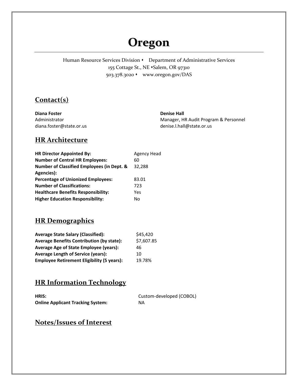## **Oregon**

Human Resource Services Division • Department of Administrative Services 155 Cottage St., NE \*Salem, OR 97310 503.378.3020 www.oregon.gov/DAS

#### **Contact(s)**

| Diana Foster             | <b>Denise Hall</b>                    |
|--------------------------|---------------------------------------|
| Administrator            | Manager, HR Audit Program & Personnel |
| diana.foster@state.or.us | denise.l.hall@state.or.us             |

#### **HR Architecture**

| <b>HR Director Appointed By:</b>           | Agency Head |
|--------------------------------------------|-------------|
| <b>Number of Central HR Employees:</b>     | 60          |
| Number of Classified Employees (in Dept. & | 32,288      |
| Agencies):                                 |             |
| <b>Percentage of Unionized Employees:</b>  | 83.01       |
| <b>Number of Classifications:</b>          | 723         |
| <b>Healthcare Benefits Responsibility:</b> | Yes         |
| <b>Higher Education Responsibility:</b>    | No          |

### **HR Demographics**

| <b>Average State Salary (Classified):</b>         | \$45,420   |
|---------------------------------------------------|------------|
| <b>Average Benefits Contribution (by state):</b>  | \$7,607.85 |
| Average Age of State Employee (years):            | 46         |
| <b>Average Length of Service (years):</b>         | 10         |
| <b>Employee Retirement Eligibility (5 years):</b> | 19.78%     |

### **HR Information Technology**

| <b>HRIS:</b>                             | Custom-developed (COBOL) |
|------------------------------------------|--------------------------|
| <b>Online Applicant Tracking System:</b> | NA.                      |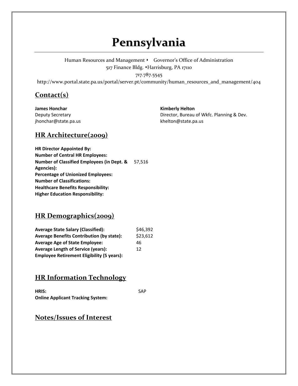## **Pennsylvania**

Human Resources and Management • Governor's Office of Administration 517 Finance Bldg. Harrisburg, PA 17110

#### 717.787.5545

http://www.portal.state.pa.us/portal/server.pt/community/human\_resources\_and\_management/404

#### **Contact(s)**

**James Honchar** Deputy Secretary jhonchar@state.pa.us **Kimberly Helton**

Director, Bureau of Wkfc. Planning & Dev. khelton@state.pa.us

#### **HR Architecture(2009)**

**HR Director Appointed By: Number of Central HR Employees: Number of Classified Employees (in Dept. &** 57,516 **Agencies): Percentage of Unionized Employees: Number of Classifications: Healthcare Benefits Responsibility: Higher Education Responsibility:**

#### **HR Demographics(2009)**

| <b>Average State Salary (Classified):</b>         | \$46,392 |
|---------------------------------------------------|----------|
| <b>Average Benefits Contribution (by state):</b>  | \$23,612 |
| <b>Average Age of State Employee:</b>             | 46       |
| <b>Average Length of Service (years):</b>         | 12       |
| <b>Employee Retirement Eligibility (5 years):</b> |          |

#### **HR Information Technology**

**HRIS:** SAP **Online Applicant Tracking System:**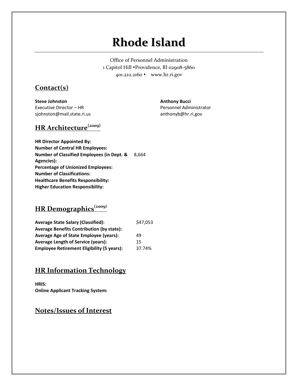# **Rhode Island**

Office of Personnel Administration 1 Capitol Hill • Providence, RI 02908-5860 401.222.2160 www.hr.ri.gov

#### **Contact(s)**

**Steve Johnston** Executive Director – HR sjohnston@mail.state.ri.us **Anthony Bucci** Personnel Administrator anthonyb@hr.ri.gov

### **HR Architecture(2009)**

**HR Director Appointed By: Number of Central HR Employees: Number of Classified Employees (in Dept. &** 8,664 **Agencies): Percentage of Unionized Employees: Number of Classifications: Healthcare Benefits Responsibility: Higher Education Responsibility:**

#### **HR Demographics(2009)**

| <b>Average State Salary (Classified):</b>         | \$47,053 |
|---------------------------------------------------|----------|
| <b>Average Benefits Contribution (by state):</b>  |          |
| <b>Average Age of State Employee (years):</b>     | 49       |
| <b>Average Length of Service (years):</b>         | 15       |
| <b>Employee Retirement Eligibility (5 years):</b> | 37.74%   |

#### **HR Information Technology**

**HRIS: Online Applicant Tracking System:**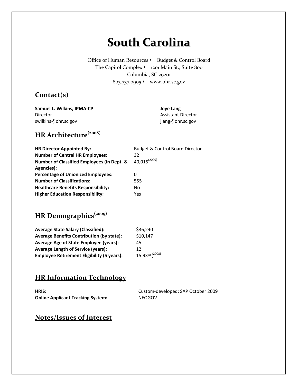# **South Carolina**

Office of Human Resources • Budget & Control Board The Capitol Complex  $\cdot$  1201 Main St., Suite 800 Columbia, SC 29201 803.737.0905 www.ohr.sc.gov

#### **Contact(s)**

**Samuel L. Wilkins, IPMA‐CP** Director swilkins@ohr.sc.gov

**Joye Lang** Assistant Director jlang@ohr.sc.gov

## **HR Architecture(2008)**

| <b>HR Director Appointed By:</b>                      | <b>Budget &amp; Control Board Director</b> |
|-------------------------------------------------------|--------------------------------------------|
| <b>Number of Central HR Employees:</b>                | 32                                         |
| <b>Number of Classified Employees (in Dept. &amp;</b> | $40.015^{(2009)}$                          |
| Agencies):                                            |                                            |
| <b>Percentage of Unionized Employees:</b>             | 0                                          |
| <b>Number of Classifications:</b>                     | 555                                        |
| <b>Healthcare Benefits Responsibility:</b>            | No                                         |
| <b>Higher Education Responsibility:</b>               | Yes                                        |

## **HR Demographics(2009)**

| <b>Average State Salary (Classified):</b>         | \$36,240     |
|---------------------------------------------------|--------------|
| <b>Average Benefits Contribution (by state):</b>  | \$10,147     |
| <b>Average Age of State Employee (years):</b>     | 45           |
| <b>Average Length of Service (years):</b>         | 12           |
| <b>Employee Retirement Eligibility (5 years):</b> | 15.93%(2008) |

### **HR Information Technology**

| HRIS:                                    | Custom-developed; SAP October 2009 |
|------------------------------------------|------------------------------------|
| <b>Online Applicant Tracking System:</b> | <b>NEOGOV</b>                      |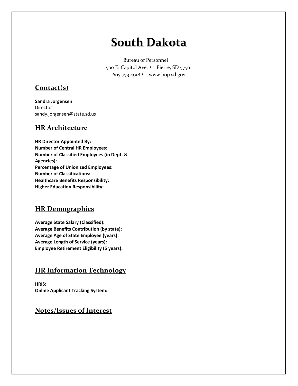# **South Dakota**

Bureau of Personnel 500 E. Capitol Ave. • Pierre, SD 57501 605.773.4918 www.bop.sd.gov

#### **Contact(s)**

**Sandra Jorgensen** Director sandy.jorgensen@state.sd.us

#### **HR Architecture**

**HR Director Appointed By: Number of Central HR Employees: Number of Classified Employees (in Dept. & Agencies): Percentage of Unionized Employees: Number of Classifications: Healthcare Benefits Responsibility: Higher Education Responsibility:**

#### **HR Demographics**

**Average State Salary (Classified): Average Benefits Contribution (by state): Average Age of State Employee (years): Average Length of Service (years): Employee Retirement Eligibility (5 years):**

#### **HR Information Technology**

**HRIS: Online Applicant Tracking System:**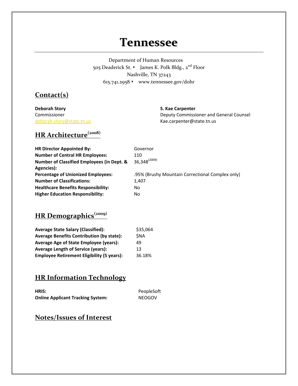## **Tennessee**

Department of Human Resources 505 Deaderick St. • James K. Polk Bldg., 2<sup>nd</sup> Floor Nashville, TN 37243 615.741.2958 www.tennessee.gov/dohr

#### **Contact(s)**

**Deborah Story** Commissioner deborah.story@state.tn.us

#### **S. Kae Carpenter**

Deputy Commissioner and General Counsel Kae.carpenter@state.tn.us

## **HR Architecture(2008)**

| <b>HR Director Appointed By:</b>                      | Governor                                         |
|-------------------------------------------------------|--------------------------------------------------|
| <b>Number of Central HR Employees:</b>                | 110                                              |
| <b>Number of Classified Employees (in Dept. &amp;</b> | 36,348 <sup>(2009)</sup>                         |
| Agencies):                                            |                                                  |
| <b>Percentage of Unionized Employees:</b>             | .95% (Brushy Mountain Correctional Complex only) |
| <b>Number of Classifications:</b>                     | 1.407                                            |
| <b>Healthcare Benefits Responsibility:</b>            | No                                               |
| <b>Higher Education Responsibility:</b>               | No                                               |

## **HR Demographics(2009)**

| <b>Average State Salary (Classified):</b>         | \$35,064   |
|---------------------------------------------------|------------|
| <b>Average Benefits Contribution (by state):</b>  | <b>SNA</b> |
| Average Age of State Employee (years):            | 49         |
| <b>Average Length of Service (years):</b>         | 13         |
| <b>Employee Retirement Eligibility (5 years):</b> | 36.18%     |

### **HR Information Technology**

| <b>HRIS:</b>                             | PeopleSoft    |
|------------------------------------------|---------------|
| <b>Online Applicant Tracking System:</b> | <b>NEOGOV</b> |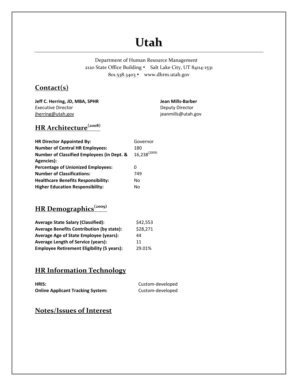# **Utah**

Department of Human Resource Management 2120 State Office Building • Salt Lake City, UT 84114-1531 801.538.3403 www.dhrm.utah.gov

#### **Contact(s)**

**Jeff C. Herring, JD, MBA, SPHR** Executive Director jherring@utah.gov

**Jean Mills‐Barber** Deputy Director jeanmills@utah.gov

## **HR Architecture(2008)**

| <b>HR Director Appointed By:</b>           | Governor          |
|--------------------------------------------|-------------------|
| <b>Number of Central HR Employees:</b>     | 180               |
| Number of Classified Employees (in Dept. & | $16,238^{(2009)}$ |
| Agencies):                                 |                   |
| <b>Percentage of Unionized Employees:</b>  | 0                 |
| <b>Number of Classifications:</b>          | 749               |
| <b>Healthcare Benefits Responsibility:</b> | No                |
| <b>Higher Education Responsibility:</b>    | Nο                |

## **HR Demographics(2009)**

| <b>Average State Salary (Classified):</b>         | \$42,553 |
|---------------------------------------------------|----------|
| <b>Average Benefits Contribution (by state):</b>  | \$28,271 |
| <b>Average Age of State Employee (years):</b>     | 44       |
| <b>Average Length of Service (years):</b>         | 11       |
| <b>Employee Retirement Eligibility (5 years):</b> | 29.01%   |

#### **HR Information Technology**

| HRIS:                                    | Custom-developed |
|------------------------------------------|------------------|
| <b>Online Applicant Tracking System:</b> | Custom-developed |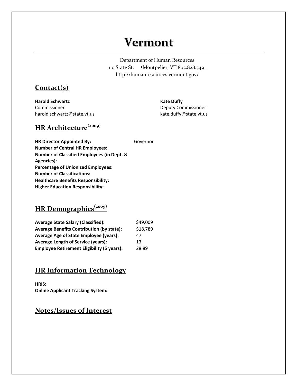## **Vermont**

Department of Human Resources 110 State St. + Montpelier, VT 802.828.3491 http://humanresources.vermont.gov/

#### **Contact(s)**

**Harold Schwartz** Commissioner harold.schwartz@state.vt.us **Kate Duffy** Deputy Commissioner kate.duffy@state.vt.us

### **HR Architecture(2009)**

**HR Director Appointed By:** Governor **Number of Central HR Employees: Number of Classified Employees (in Dept. & Agencies): Percentage of Unionized Employees: Number of Classifications: Healthcare Benefits Responsibility: Higher Education Responsibility:**

#### **HR Demographics(2009)**

| <b>Average State Salary (Classified):</b>         | \$49,009 |
|---------------------------------------------------|----------|
| <b>Average Benefits Contribution (by state):</b>  | \$18,789 |
| Average Age of State Employee (years):            | 47       |
| <b>Average Length of Service (years):</b>         | 13       |
| <b>Employee Retirement Eligibility (5 years):</b> | 28.89    |

#### **HR Information Technology**

**HRIS: Online Applicant Tracking System:**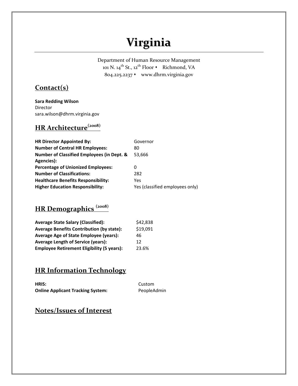# **Virginia**

Department of Human Resource Management 101 N. 14<sup>th</sup> St., 12<sup>th</sup> Floor • Richmond, VA 804.225.2237 www.dhrm.virginia.gov

#### **Contact(s)**

**Sara Redding Wilson** Director sara.wilson@dhrm.virginia.gov

## **HR Architecture(2008)**

| <b>HR Director Appointed By:</b>                      | Governor                        |
|-------------------------------------------------------|---------------------------------|
| <b>Number of Central HR Employees:</b>                | 80                              |
| <b>Number of Classified Employees (in Dept. &amp;</b> | 53.666                          |
| Agencies):                                            |                                 |
| <b>Percentage of Unionized Employees:</b>             | 0                               |
| <b>Number of Classifications:</b>                     | 282                             |
| <b>Healthcare Benefits Responsibility:</b>            | Yes                             |
| <b>Higher Education Responsibility:</b>               | Yes (classified employees only) |

### **HR Demographics (2008)**

| <b>Average State Salary (Classified):</b>         | \$42,838 |
|---------------------------------------------------|----------|
| <b>Average Benefits Contribution (by state):</b>  | \$19,091 |
| <b>Average Age of State Employee (years):</b>     | 46       |
| <b>Average Length of Service (years):</b>         | 12       |
| <b>Employee Retirement Eligibility (5 years):</b> | 23.6%    |

### **HR Information Technology**

| HRIS:                                    | Custom      |
|------------------------------------------|-------------|
| <b>Online Applicant Tracking System:</b> | PeopleAdmin |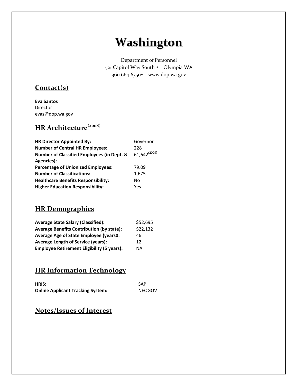# **Washington**

Department of Personnel 521 Capitol Way South • Olympia WA 360.664.6350\* www.dop.wa.gov

#### **Contact(s)**

**Eva Santos** Director evas@dop.wa.gov

## **HR Architecture(2008)**

| <b>HR Director Appointed By:</b>                      | Governor          |
|-------------------------------------------------------|-------------------|
| <b>Number of Central HR Employees:</b>                | 228               |
| <b>Number of Classified Employees (in Dept. &amp;</b> | $61,642^{(2009)}$ |
| Agencies):                                            |                   |
| <b>Percentage of Unionized Employees:</b>             | 79.09             |
| <b>Number of Classifications:</b>                     | 1,675             |
| <b>Healthcare Benefits Responsibility:</b>            | No                |
| <b>Higher Education Responsibility:</b>               | Yes               |

#### **HR Demographics**

| <b>Average State Salary (Classified):</b>         | \$52,695 |
|---------------------------------------------------|----------|
| <b>Average Benefits Contribution (by state):</b>  | \$22,132 |
| <b>Average Age of State Employee (years0:</b>     | 46       |
| <b>Average Length of Service (years):</b>         | 12       |
| <b>Employee Retirement Eligibility (5 years):</b> | ΝA       |

### **HR Information Technology**

| <b>HRIS:</b>                             | <b>SAP</b>    |
|------------------------------------------|---------------|
| <b>Online Applicant Tracking System:</b> | <b>NEOGOV</b> |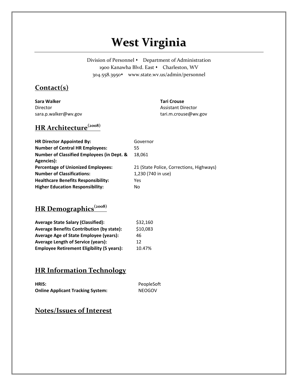# **West Virginia**

Division of Personnel • Department of Administration 1900 Kanawha Blvd. East • Charleston, WV 304.558.3950\* www.state.wv.us/admin/personnel

#### **Contact(s)**

**Sara Walker** Director sara.p.walker@wv.gov

#### **Tari Crouse**

Assistant Director tari.m.crouse@wv.gov

### **HR Architecture(2008)**

| <b>HR Director Appointed By:</b>                      | Governor                                 |
|-------------------------------------------------------|------------------------------------------|
| <b>Number of Central HR Employees:</b>                | 55                                       |
| <b>Number of Classified Employees (in Dept. &amp;</b> | 18.061                                   |
| Agencies):                                            |                                          |
| <b>Percentage of Unionized Employees:</b>             | 21 (State Police, Corrections, Highways) |
| <b>Number of Classifications:</b>                     | 1,230 (740 in use)                       |
| <b>Healthcare Benefits Responsibility:</b>            | Yes                                      |
| <b>Higher Education Responsibility:</b>               | No                                       |

### **HR Demographics(2008)**

| <b>Average State Salary (Classified):</b>         | \$32,160 |
|---------------------------------------------------|----------|
| <b>Average Benefits Contribution (by state):</b>  | \$10,083 |
| Average Age of State Employee (years):            | 46       |
| <b>Average Length of Service (years):</b>         | 12       |
| <b>Employee Retirement Eligibility (5 years):</b> | 10.47%   |

#### **HR Information Technology**

| <b>HRIS:</b>                             | PeopleSoft    |
|------------------------------------------|---------------|
| <b>Online Applicant Tracking System:</b> | <b>NEOGOV</b> |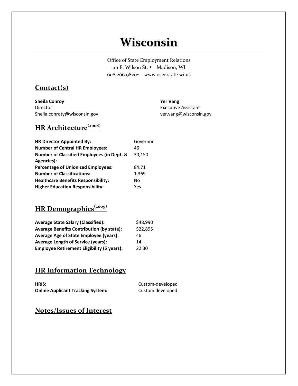## **Wisconsin**

Office of State Employment Relations 101 E. Wilson St. • Madison, WI 608.266.9820\* www.oser.state.wi.us

#### **Contact(s)**

**Sheila Conroy** Director Sheila.conroty@wisconsin.gov **Yer Vang** Executive Assistant yer.vang@wisconsin.gov

## **HR Architecture(2008)**

| <b>HR Director Appointed By:</b>                      | Governor |
|-------------------------------------------------------|----------|
| <b>Number of Central HR Employees:</b>                | 46       |
| <b>Number of Classified Employees (in Dept. &amp;</b> | 30.150   |
| Agencies):                                            |          |
| <b>Percentage of Unionized Employees:</b>             | 84.71    |
| <b>Number of Classifications:</b>                     | 1,369    |
| <b>Healthcare Benefits Responsibility:</b>            | No       |
| <b>Higher Education Responsibility:</b>               | Yes      |

## **HR Demographics(2009)**

| <b>Average State Salary (Classified):</b>         | \$48,990 |
|---------------------------------------------------|----------|
| <b>Average Benefits Contribution (by state):</b>  | \$22,895 |
| Average Age of State Employee (years):            | 46       |
| <b>Average Length of Service (years):</b>         | 14       |
| <b>Employee Retirement Eligibility (5 years):</b> | 22.30    |

#### **HR Information Technology**

| HRIS:                                    | Custom-developed |
|------------------------------------------|------------------|
| <b>Online Applicant Tracking System:</b> | Custom developed |